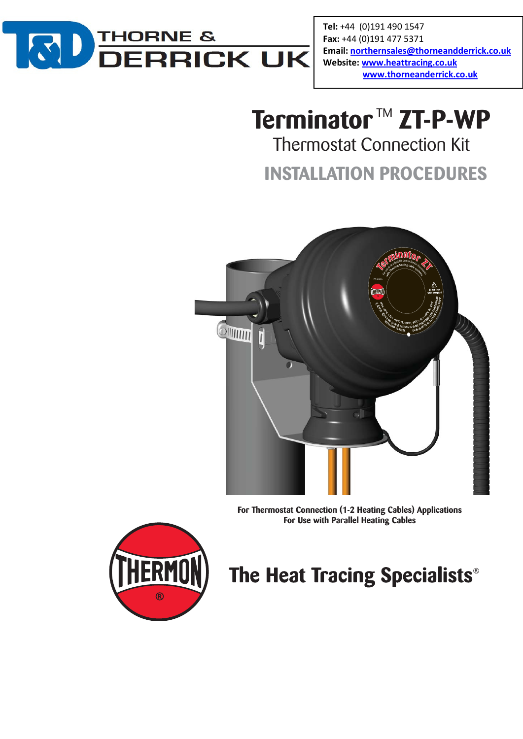

Tel: +44 (0)191 490 1547 Fax: +44 (0)191 477 5371 Email: northernsales@thorneandderrick.co.uk Website: www.heattracing.co.uk www.thorneanderrick.co.uk

# **Terminator™ ZT-P-WP** Thermostat Connection Kit

**INSTALLATION PROCEDURES**



**For Thermostat Connection (1-2 Heating Cables) Applications For Use with Parallel Heating Cables**



# The Heat Tracing Specialists<sup>®</sup>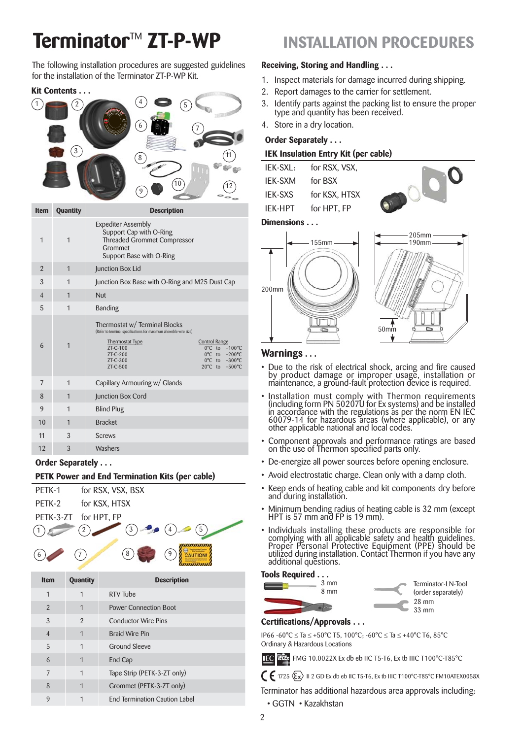# **Terminator**TM **ZT-P-WP INSTALLATION PROCEDURES**

The following installation procedures are suggested guidelines for the installation of the Terminator ZT-P-WP Kit.

## **Kit Contents . . .**



| <b>Item</b>    | Quantity     | <b>Description</b>                                                                                                                                                                                                                                                         |  |  |
|----------------|--------------|----------------------------------------------------------------------------------------------------------------------------------------------------------------------------------------------------------------------------------------------------------------------------|--|--|
| $\mathbf 1$    | $\mathbf{1}$ | <b>Expediter Assembly</b><br>Support Cap with O-Ring<br><b>Threaded Grommet Compressor</b><br>Grommet<br>Support Base with O-Ring                                                                                                                                          |  |  |
| $\overline{2}$ | $\mathbf{1}$ | Junction Box Lid                                                                                                                                                                                                                                                           |  |  |
| 3              | $\mathbf{1}$ | Junction Box Base with O-Ring and M25 Dust Cap                                                                                                                                                                                                                             |  |  |
| $\overline{4}$ | $\mathbf{1}$ | Nut                                                                                                                                                                                                                                                                        |  |  |
| 5              | $\mathbf{1}$ | <b>Banding</b>                                                                                                                                                                                                                                                             |  |  |
| 6              | $\mathbf{1}$ | Thermostat w/ Terminal Blocks<br>(Refer to terminal specifications for maximum allowable wire size)<br><b>Thermostat Type</b><br><b>Control Range</b><br>ZT-C-100<br>0°C to +100°C<br>0°C to +200°C<br>ZT-C-200<br>ZT-C-300<br>0°C to +300°C<br>20°C to +500°C<br>ZT-C-500 |  |  |
| 7              | $\mathbf{1}$ | Capillary Armouring w/ Glands                                                                                                                                                                                                                                              |  |  |
| 8              | $\mathbf{1}$ | Junction Box Cord                                                                                                                                                                                                                                                          |  |  |
| 9              | $\mathbf{1}$ | <b>Blind Plug</b>                                                                                                                                                                                                                                                          |  |  |
| 10             | $\mathbf{1}$ | <b>Bracket</b>                                                                                                                                                                                                                                                             |  |  |
| 11             | 3            | <b>Screws</b>                                                                                                                                                                                                                                                              |  |  |
| 12             | 3            | Washers                                                                                                                                                                                                                                                                    |  |  |
|                |              |                                                                                                                                                                                                                                                                            |  |  |

#### **Order Separately . . .**

#### **PETK Power and End Termination Kits (per cable)**





| <b>Item</b>    | <b>Quantity</b> | <b>Description</b>                   |  |
|----------------|-----------------|--------------------------------------|--|
| $\mathbf 1$    | $\mathbf 1$     | <b>RTV</b> Tube                      |  |
| $\overline{2}$ | 1               | <b>Power Connection Boot</b>         |  |
| 3              | $\mathfrak{D}$  | <b>Conductor Wire Pins</b>           |  |
| $\overline{4}$ | 1               | <b>Braid Wire Pin</b>                |  |
| 5              | 1               | <b>Ground Sleeve</b>                 |  |
| 6              | 1               | End Cap                              |  |
| 7              | $\mathbf 1$     | Tape Strip (PETK-3-ZT only)          |  |
| 8              | 1               | Grommet (PETK-3-ZT only)             |  |
| 9              | 1               | <b>End Termination Caution Label</b> |  |
|                |                 |                                      |  |

#### **Receiving, Storing and Handling . . .**

- 1. Inspect materials for damage incurred during shipping.
- 2. Report damages to the carrier for settlement.
- Identify parts against the packing list to ensure the proper type and quantity has been received.
- 4. Store in a dry location.

#### **Order Separately . . .**

#### **IEK Insulation Entry Kit (per cable)**

| $IFK-SXI:$     | for RSX, VSX, |
|----------------|---------------|
| <b>IFK-SXM</b> | for BSX       |
| <b>IFK-SXS</b> | for KSX, HTSX |
| <b>IFK-HPT</b> | for HPT, FP   |
|                |               |



## **Dimensions . . .**



#### **Warnings . . .**

- Due to the risk of electrical shock, arcing and fire caused by product damage or improper usage, installation or maintenance, a ground-fault protection device is required.
- Installation must comply with Thermon requirements (including form PN 50207U for Ex systems) and be installed in accordance with the regulations as per the norm EN IEC 60079-14 for hazardous areas (where applicable), or any other applicable national and local codes.
- Component approvals and performance ratings are based on the use of Thermon specified parts only.
- De-energize all power sources before opening enclosure.
- Avoid electrostatic charge. Clean only with a damp cloth.
- Keep ends of heating cable and kit components dry before and during installation.
- Minimum bending radius of heating cable is 32 mm (except HPT is 57 mm and FP is 19 mm).
- Individuals installing these products are responsible for complying with all applicable safety and health guidelines. Proper Personal Protective Equipment (PPE) should be utilized during installation. Contact Thermon if you have any additional questions.

#### **Tools Required . . .**



### **Certifications/Approvals . . .**

IP66 -60°C ≤ Ta ≤ +50°C T5, 100°C; -60°C ≤ Ta ≤ +40°C T6, 85°C Ordinary & Hazardous Locations

FMG 10.0022X Ex db eb IIC T5-T6, Ex tb IIIC T100°C-T85°C

 $\in$  1725  $\langle \overline{\xi_x} \rangle$  II 2 GD Ex db eb IIC T5-T6, Ex tb IIIC T100°C-T85°C FM10ATEX0058X

Terminator has additional hazardous area approvals including:

• GGTN • Kazakhstan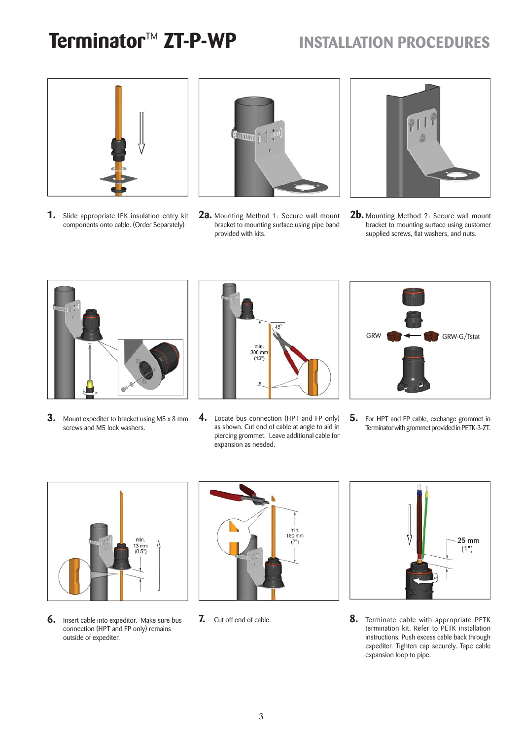## **Terminator<sup>™</sup> ZT-P-WP INSTALLATION PROCEDURES**



**1.** Slide appropriate IEK insulation entry kit components onto cable. (Order Separately)



**2a.** Mounting Method 1: Secure wall mount bracket to mounting surface using pipe band provided with kits.



**2b.** Mounting Method 2: Secure wall mount bracket to mounting surface using customer supplied screws, flat washers, and nuts.



**3.** Mount expediter to bracket using M5 x 8 mm screws and M5 lock washers.



**4.** Locate bus connection (HPT and FP only) as shown. Cut end of cable at angle to aid in piercing grommet. Leave additional cable for expansion as needed.



**5.** For HPT and FP cable, exchange grommet in Terminator with grommet provided in PETK-3-ZT.



**6.** Insert cable into expeditor. Make sure bus connection (HPT and FP only) remains outside of expediter.



**7.** Cut off end of cable.



**8.** Terminate cable with appropriate PETK termination kit. Refer to PETK installation instructions. Push excess cable back through expediter. Tighten cap securely. Tape cable expansion loop to pipe.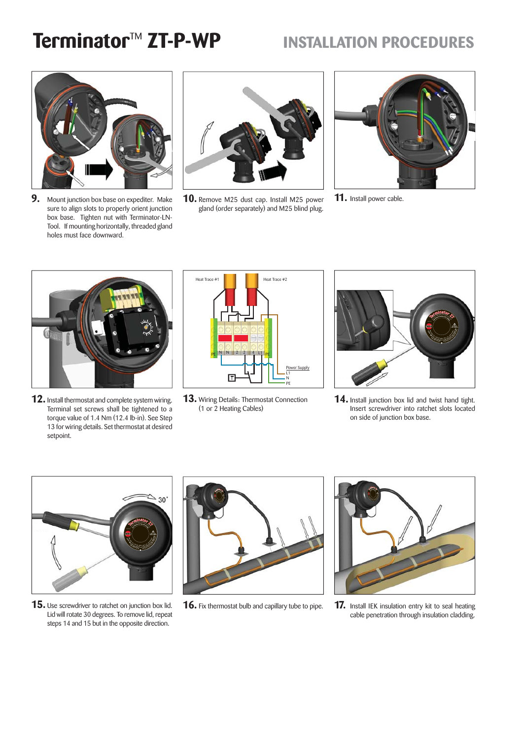## **Terminator<sup>™</sup> ZT-P-WP INSTALLATION PROCEDURES**



**9.** Mount junction box base on expediter. Make sure to align slots to properly orient junction box base. Tighten nut with Terminator-LN-Tool. If mounting horizontally, threaded gland holes must face downward.



**10.** Remove M25 dust cap. Install M25 power gland (order separately) and M25 blind plug.



**11.** Install power cable.



**12.** Install thermostat and complete system wiring. Terminal set screws shall be tightened to a torque value of 1.4 Nm (12.4 lb-in). See Step 13 for wiring details. Set thermostat at desired setpoint.

| Heat Trace #1                   | Heat Trace #2                 |
|---------------------------------|-------------------------------|
|                                 |                               |
|                                 |                               |
| $L1$ $p_E$<br>N<br>2<br>4<br>PE |                               |
|                                 | Power Supply<br>11<br>Ν<br>PE |

**13.** Wiring Details: Thermostat Connection (1 or 2 Heating Cables)



**14.** Install junction box lid and twist hand tight. Insert screwdriver into ratchet slots located on side of junction box base.



**15.** Use screwdriver to ratchet on junction box lid. Lid will rotate 30 degrees. To remove lid, repeat steps 14 and 15 but in the opposite direction.



**16.** Fix thermostat bulb and capillary tube to pipe.



**17.** Install IEK insulation entry kit to seal heating cable penetration through insulation cladding.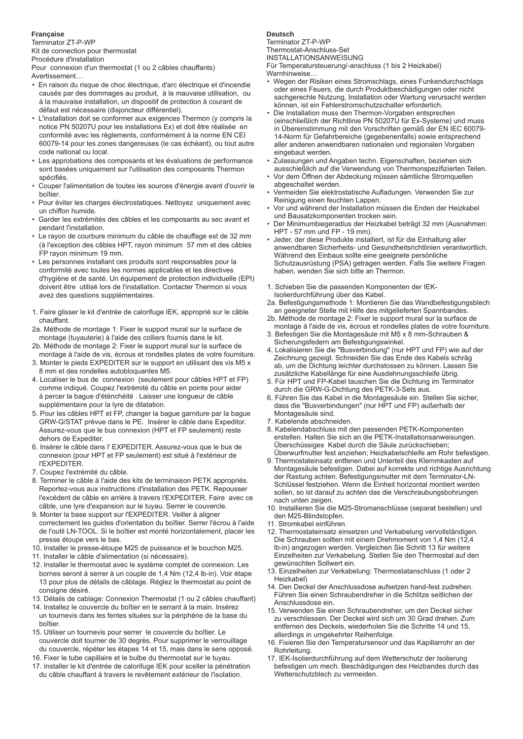#### **Française**

Terminator ZT-P-WP Kit de connection pour thermostat

Procédure d'installation

Pour connexion d'un thermostat (1 ou 2 câbles chauffants) Avertissement…

- En raison du risque de choc électrique, d'arc électrique et d'incendie causés par des dommages au produit, à la mauvaise utilisation, ou à la mauvaise installation, un dispositif de protection à courant de défaut est nécessaire (disjoncteur différentiel).
- L'installation doit se conformer aux exigences Thermon (y compris la notice PN 50207U pour les installations Ex) et doit être réalisée en conformité avec les règlements, conformément à la norme EN CEI 60079-14 pour les zones dangereuses (le cas échéant), ou tout autre code national ou local.
- Les approbations des composants et les évaluations de performance sont basées uniquement sur l'utilisation des composants Thermon spécifiés
- Couper l'alimentation de toutes les sources d'énergie avant d'ouvrir le boîtier.
- Pour éviter les charges électrostatiques. Nettoyez uniquement avec un chiffon humide.
- Garder les extrémités des câbles et les composants au sec avant et pendant l'installation.
- Le rayon de courbure minimum du câble de chauffage est de 32 mm (à l'exception des câbles HPT, rayon minimum 57 mm et des câbles FP rayon minimum 19 mm.
- Les personnes installant ces produits sont responsables pour la conformité avec toutes les normes applicables et les directives d'hygiène et de santé. Un équipement de protection individuelle (EPI) doivent être utilisé lors de l'installation. Contacter Thermon si vous avez des questions supplémentaires.
- 1. Faire glisser le kit d'entrée de calorifuge IEK, approprié sur le câble chauffant.
- 2a. Méthode de montage 1: Fixer le support mural sur la surface de montage (tuyauterie) à l'aide des colliers fournis dans le kit.
- 2b. Méthode de montage 2: Fixer le support mural sur la surface de montage à l'aide de vis, écrous et rondelles plates de votre fourniture.
- 3. Monter le pieds EXPEDITER sur le support en utilisant des vis M5 x 8 mm et des rondelles autobloquantes M5.
- 4. Localiser le bus de connexion (seulement pour câbles HPT et FP) comme indiqué. Coupez l'extrémité du câble en pointe pour aider à percer la bague d'éténchéité . Laisser une longueur de câble supplémentaire pour la lyre de dilatation.
- 5. Pour les câbles HPT et FP, changer la bague garniture par la bague GRW-G/STAT prévue dans le PE. Insérer le câble dans Expeditor. Assurez-vous que le bus connexion (HPT et FP seulement) reste dehors de Expediter.
- 6. Insérer le câble dans l' EXPEDITER. Assurez-vous que le bus de connexion (pour HPT et FP seulement) est situé à l'extérieur de l'EXPEDITER.
- 7. Coupez l'extrémité du câble.
- 8. Terminer le câble à l'aide des kits de terminaison PETK appropriés. Reportez-vous aux instructions d'installation des PETK. Repousser l'excédent de câble en arrière à travers l'EXPEDITER. Faire avec ce câble, une lyre d'expansion sur le tuyau. Serrer le couvercle.
- 9. Monter la base support sur l'EXPEDITER. Veiller à aligner correctement les guides d'orientation du boîtier. Serrer l'écrou à l'aide de l'outil LN-TOOL. Si le boîtier est monté horizontalement, placer les presse étoupe vers le bas.
- 10. Installer le presse-étoupe M25 de puissance et le bouchon M25.
- 11. Installer le câble d'alimentation (si nécessaire).
- 12. Installer le thermostat avec le système complet de connexion. Les bornes seront à serrer à un couple de 1,4 Nm (12,4 lb-in). Voir étape 13 pour plus de détails de câblage. Réglez le thermostat au point de consigne désiré.
- 13. Détails de cablage: Connexion Thermostat (1 ou 2 câbles chauffant)
- 14. Installez le couvercle du boîtier en le serrant à la main. Insérez un tournevis dans les fentes situées sur la périphérie de la base du boîtier.
- 15. Utiliser un tournevis pour serrer le couvercle du boîtier. Le couvercle doit tourner de 30 degrès. Pour supprimer le verrouillage du couvercle, répéter les étapes 14 et 15, mais dans le sens opposé.
- 16. Fixer le tube capillaire et le bulbe du thermostat sur le tuyau. 17. Installer le kit d'entrée de calorifuge IEK pour sceller la pénétration
- du câble chauffant à travers le revêtement extérieur de l'isolation.

#### **Deutsch**

Terminator ZT-P-WP Thermostat-Anschluss-Set INSTALLATIONSANWEISUNG Für Temperatursteuerung/-anschluss (1 bis 2 Heizkabel)

- Warnhinweise…
- Wegen der Risiken eines Stromschlags, eines Funkendurchschlags oder eines Feuers, die durch Produktbeschädigungen oder nicht sachgerechte Nutzung, Installation oder Wartung verursacht werden können, ist ein Fehlerstromschutzschalter erforderlich.
- Die Installation muss den Thermon-Vorgaben entsprechen (einschließlich der Richtlinie PN 50207U für Ex-Systeme) und muss in Übereinstimmung mit den Vorschriften gemäß der EN IEC 60079- 14-Norm für Gefahrbereiche (gegebenenfalls) sowie entsprechend aller anderen anwendbaren nationalen und regionalen Vorgaben eingebaut werden.
- Zulassungen und Angaben techn. Eigenschaften, beziehen sich ausschießlich auf die Verwendung von Thermonspezifizierten Teilen.
- Vor dem Öffnen der Abdeckung müssen sämtliche Stromquellen abgeschaltet werden.
- Vermeiden Sie elektrostatische Aufladungen. Verwenden Sie zur Reinigung einen feuchten Lappen.
- Vor und während der Installation müssen die Enden der Heizkabel und Bausatzkomponenten trocken sein.
- Der Minimumbiegeradius der Heizkabel beträgt 32 mm (Ausnahmen: HPT - 57 mm und FP - 19 mm).
- Jeder, der diese Produkte installiert, ist für die Einhaltung aller anwendbaren Sicherheits- und Gesundheitsrichtlinien verantwortlich. Während des Einbaus sollte eine geeignete persönliche Schutzausrüstung (PSA) getragen werden. Falls Sie weitere Fragen haben, wenden Sie sich bitte an Thermon.
- 1. Schieben Sie die passenden Komponenten der IEK-Isolierdurchführung über das Kabel.
- 2a. Befestigungsmethode 1: Montieren Sie das Wandbefestigungsblech an geeigneter Stelle mit Hilfe des mitgelieferten Spannbandes.
- 2b. Méthode de montage 2: Fixer le support mural sur la surface de montage à l'aide de vis, écrous et rondelles plates de votre fourniture.
- 3. Befestigen Sie die Montagesäule mit M5 x 8 mm-Schrauben & Sicherungsfedern am Befestigungswinkel.
- 4. Lokalisieren Sie die "Busverbindung" (nur HPT und FP) wie auf der Zeichnung gezeigt. Schneiden Sie das Ende des Kabels schräg ab, um die Dichtung leichter durchstossen zu können. Lassen Sie zusätzliche Kabellänge für eine Ausdehnungsschleife übrig.
- 5. Für HPT und FP-Kabel tauschen Sie die Dichtung im Terminator durch die GRW-G-Dichtung des PETK-3-Sets aus.
- 6. Führen Sie das Kabel in die Montagesäule ein. Stellen Sie sicher, dass die "Busverbindungen" (nur HPT und FP) außerhalb der Montagesäule sind.
- 7. Kabelende abschneiden.
- 8. Kabelendabschluss mit den passenden PETK-Komponenten erstellen. Halten Sie sich an die PETK-Installationsanweisungen. Überschüssiges Kabel durch die Säule zurückschieben; Überwurfmutter fest anziehen; Heizkabelschleife am Rohr befestigen.
- 9. Thermostateinsatz entfenen und Unterteil des Klemmkasten auf Montagesäule befestigen. Dabei auf korrekte und richtige Ausrichtung der Rastung achten. Befestigungsmutter mit dem Terminator-LN-Schlüssel festziehen. Wenn die Einheit horizontal montiert werden sollen, so ist darauf zu achten das die Verschraubungsbohrungen nach unten zeigen.
- 10. Installieren Sie die M25-Stromanschlüsse (separat bestellen) und den M25-Blindstopfen.
- 11. Stromkabel einführen.
- 12. Thermostateinsatz einsetzen und Verkabelung vervollständigen. Die Schrauben sollten mit einem Drehmoment von 1,4 Nm (12,4 lb-in) angezogen werden. Vergleichen Sie Schritt 13 für weitere Einzelheiten zur Verkabelung. Stellen Sie den Thermostat auf den gewünschten Sollwert ein.
- 13. Einzelheiten zur Verkabelung: Thermostatanschluss (1 oder 2 Heizkabel)
- 14. Den Deckel der Anschlussdose aufsetzen hand-fest zudrehen. Führen Sie einen Schraubendreher in die Schlitze seitlichen der Anschlussdose ein.
- 15. Verwenden Sie einen Schraubendreher, um den Deckel sicher zu verschliessen. Der Deckel wird sich um 30 Grad drehen. Zum entfernen des Deckels, wiederholen Sie die Schritte 14 und 15, allerdings in umgekehrter Reihenfolge.
- 16. Fixieren Sie den Temperatursensor und das Kapillarrohr an der Rohrleitung.
- 17. IEK-Isolierdurchführung auf dem Wetterschutz der Isolierung befestigen um mech. Beschädigungen des Heizbandes durch das Wetterschutzblech zu vermeiden.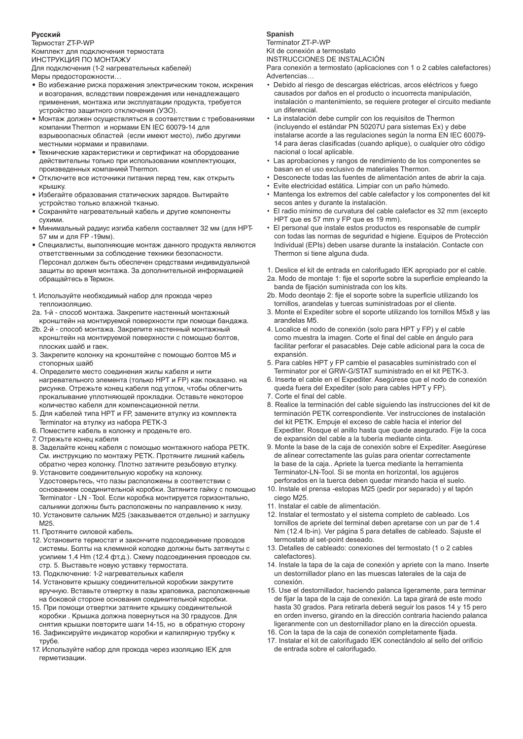#### **Русский**

Термостат ZT-P-WP Комплект для подключения термостата

ИНСТРУКЦИЯ ПО МОНТАЖУ Для подключения (1-2 нагревательных кабелей)

Меры предосторожности…

- Во избежание риска поражения электрическим током, искрения и возгорания, вследствии повреждения или ненадлежащего применения, монтажа или эксплуатации продукта, требуется устройство защитного отключения (УЗО).
- Монтаж должен осуществляться в соответствии с требованиями компании Thermon и нормами EN IEC 60079-14 для взрывоопасных областей (если имеют место), либо другими местными нормами и правилами.
- Технические характеристики и сертификат на оборудование действительны только при использовании комплектующих, произведенных компанией Thermon.
- Отключите все источники питания перед тем, как открыть крышку.
- Избегайте образования статических зарядов. Вытирайте устройство только влажной тканью.
- Сохраняйте нагревательный кабель и другие компоненты сухими.
- Минимальный радиус изгиба кабеля составляет 32 мм (для HPT-57 мм и для FP -19мм).
- Специалисты, выполняющие монтаж данного продукта являются ответственными за соблюдение техники безопасности. Персонал должен быть обеспечен средствами индивидуальной защиты во время монтажа. За дополнительной информацией обращайтесь в Термон.
- 1. Используйте необходимый набор для прохода через теплоизоляцию.
- 2a. 1-й способ монтажа. Закрепите настенный монтажный кронштейн на монтируемой поверхности при помощи бандажа.
- 2b. 2-й способ монтажа. Закрепите настенный монтажный кронштейн на монтируемой поверхности c помощью болтов, плоских шайб и гаек.
- 3. Закрепите колонку на кронштейне с помощью болтов M5 и стопорных шайб
- 4. Определите место соединения жилы кабеля и нити нагревательного элемента (только HPT и FP) как показано. на рисунке. Отрежьте конец кабеля под углом, чтобы облегчить прокалывание уплотняющей прокладки. Оставьте некоторое количество кабеля для компенсационной петли.
- 5. Для кабелей типа HPT и FP, замените втулку из комплекта Terminator на втулку из набора PETK-3
- 6. Поместите кабель в колонку и проденьте его.
- 7. Отрежьте конец кабеля
- 8. Заделайте конец кабеля с помощью монтажного набора PETK. См. инструкцию по монтажу PETK. Протяните лишний кабель обратно через колонку. Плотно затяните резьбовую втулку.
- 9. Установите соединительную коробку на колонку. Удостоверьтесь, что пазы расположены в соответствии с основанием соединительной коробки. Затяните гайку с помощью Terminator - LN - Tool. Если коробка монтируется горизонтально, сальники должны быть расположены по направлению к низу.
- 10. Установите сальник M25 (заказывается отдельно) и заглушку М25.
- 11. Протяните силовой кабель.
- 12. Установите термостат и закончите подсоединение проводов системы. Болты на клеммной колодке должны быть затянуты с усилием 1,4 Hm (12.4 фт.д.). Схему подсоединения проводов см. стр. 5. Выставьте новую уставку термостата.
- 13. Подключение: 1-2 нагревательных кабеля
- 14. Установите крышку соединительной коробкии закрутите вручную. Вставьте отвертку в пазы храповика, расположенные на боковой стороне основания соединительной коробки.
- 15. При помощи отвертки затяните крышку соединительной коробки . Крышка должна повернуться на 30 градусов. Для снятия крышки повторите шаги 14-15, но в обратную сторону 16. Зафиксируйте индикатор коробки и капилярную трубку к
- трубе.
- 17. Используйте набор для прохода через изоляцию IEK для герметизации.

#### **Spanish**

Terminator ZT-P-WP

Kit de conexión a termostato

INSTRUCCIONES DE INSTALACIÓN

Para conexión a termostato (aplicaciones con 1 o 2 cables calefactores) Advertencias…

- Debido al riesgo de descargas eléctricas, arcos eléctricos y fuego causados por daños en el producto o incuorrecta manipulación, instalación o mantenimiento, se requiere proteger el circuito mediante un diferencial.
- La instalación debe cumplir con los requisitos de Thermon (incluyendo el estándar PN 50207U para sistemas Ex) y debe instalarse acorde a las regulaciones según la norma EN IEC 60079- 14 para áeras clasificadas (cuando aplique), o cualquier otro código nacional o local aplicable.
- Las aprobaciones y rangos de rendimiento de los componentes se basan en el uso exclusivo de materiales Thermon.
- Desconecte todas las fuentes de alimentación antes de abrir la caja.
- Evite electricidad estática. Limpiar con un paño húmedo.
- Mantenga los extremos del cable calefactor y los componentes del kit secos antes y durante la instalación.
- El radio mínimo de curvatura del cable calefactor es 32 mm (excepto HPT que es 57 mm y FP que es 19 mm).
- El personal que instale estos productos es responsable de cumplir con todas las normas de seguridad e higiene. Equipos de Protección Individual (EPIs) deben usarse durante la instalación. Contacte con Thermon si tiene alguna duda.
- 1. Deslice el kit de entrada en calorifugado IEK apropiado por el cable.
- 2a. Modo de montaje 1: fije el soporte sobre la superficie empleando la banda de fijación suministrada con los kits.
- 2b. Modo deontaje 2: fije el soporte sobre la superficie utilizando los tornillos, arandelas y tuercas suministradoas por el cliente.
- 3. Monte el Expediter sobre el soporte utilizando los tornillos M5x8 y las arandelas M5.
- 4. Localice el nodo de conexión (solo para HPT y FP) y el cable como muestra la imagen. Corte el final del cable en ángulo para facilitar perforar el pasacables. Deje cable adicional para la coca de expansión.
- 5. Para cables HPT y FP cambie el pasacables suministrado con el Terminator por el GRW-G/STAT suministrado en el kit PETK-3.
- 6. Inserte el cable en el Expediter. Asegúrese que el nodo de conexión queda fuera del Expediter (solo para cables HPT y FP).
- 7. Corte el final del cable.
- 8. Realice la terminación del cable siguiendo las instrucciones del kit de terminación PETK correspondiente. Ver instrucciones de instalación del kit PETK. Empuje el exceso de cable hacia el interior del Expediter. Rosque el anillo hasta que quede asegurado. Fije la coca de expansión del cable a la tubería mediante cinta.
- 9. Monte la base de la caja de conexión sobre el Expediter. Asegúrese de alinear correctamente las guías para orientar correctamente la base de la caja.. Apriete la tuerca mediante la herramienta Terminator-LN-Tool. Si se monta en horizontal, los agujeros perforados en la tuerca deben quedar mirando hacia el suelo.
- 10. Instale el prensa -estopas M25 (pedir por separado) y el tapón ciego M25.
- 11. Instalar el cable de alimentación.
- 12. Instalar el termostato y el sistema completo de cableado. Los tornillos de apriete del terminal deben apretarse con un par de 1.4 Nm (12.4 lb-in). Ver página 5 para detalles de cableado. Sajuste el termostato al set-point deseado.
- 13. Detalles de cableado: conexiones del termostato (1 o 2 cables calefactores).
- 14. Instale la tapa de la caja de conexión y apriete con la mano. Inserte un destornillador plano en las muescas laterales de la caja de conexión.
- 15. Use el destornillador, haciendo palanca ligeramente, para terminar de fijar la tapa de la caja de conexión. La tapa girará de este modo hasta 30 grados. Para retirarla deberá seguir los pasos 14 y 15 pero en orden inverso, girando en la dirección contraria haciendo palanca ligeranmente con un destornillador plano en la dirección opuesta.
- 16. Con la tapa de la caja de conexión completamente fijada.
- 17. Instalar el kit de calorifugado IEK conectándolo al sello del orificio de entrada sobre el calorifugado.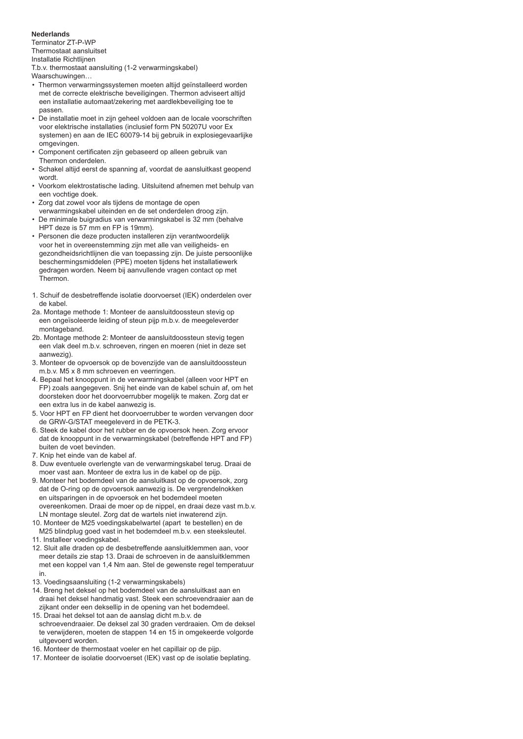#### **Nederlands**

Теrminator ZT-P-WP Thermostaat aansluitset

Installatie Richtlijnen

T.b.v. thermostaat aansluiting (1-2 verwarmingskabel)

Waarschuwingen…

- Thermon verwarmingssystemen moeten altijd geïnstalleerd worden met de correcte elektrische beveiligingen. Thermon adviseert altijd een installatie automaat/zekering met aardlekbeveiliging toe te passen.
- De installatie moet in zijn geheel voldoen aan de locale voorschriften voor elektrische installaties (inclusief form PN 50207U voor Ex systemen) en aan de IEC 60079-14 bij gebruik in explosiegevaarlijke omgevingen.
- Component certificaten zijn gebaseerd op alleen gebruik van Thermon onderdelen.
- Schakel altijd eerst de spanning af, voordat de aansluitkast geopend wordt.
- Voorkom elektrostatische lading. Uitsluitend afnemen met behulp van een vochtige doek.
- Zorg dat zowel voor als tijdens de montage de open verwarmingskabel uiteinden en de set onderdelen droog zijn.
- De minimale buigradius van verwarmingskabel is 32 mm (behalve HPT deze is 57 mm en FP is 19mm).
- Personen die deze producten installeren zijn verantwoordelijk voor het in overeenstemming zijn met alle van veiligheids- en gezondheidsrichtlijnen die van toepassing zijn. De juiste persoonlijke beschermingsmiddelen (PPE) moeten tijdens het installatiewerk gedragen worden. Neem bij aanvullende vragen contact op met Thermon.
- 1. Schuif de desbetreffende isolatie doorvoerset (IEK) onderdelen over de kabel.
- 2a. Montage methode 1: Monteer de aansluitdoossteun stevig op een ongeïsoleerde leiding of steun pijp m.b.v. de meegeleverder montageband.
- 2b. Montage methode 2: Monteer de aansluitdoossteun stevig tegen een vlak deel m.b.v. schroeven, ringen en moeren (niet in deze set aanwezig).
- 3. Monteer de opvoersok op de bovenzijde van de aansluitdoossteun m.b.v. M5 x 8 mm schroeven en veerringen.
- 4. Bepaal het knooppunt in de verwarmingskabel (alleen voor HPT en FP) zoals aangegeven. Snij het einde van de kabel schuin af, om het doorsteken door het doorvoerrubber mogelijk te maken. Zorg dat er een extra lus in de kabel aanwezig is.
- 5. Voor HPT en FP dient het doorvoerrubber te worden vervangen door de GRW-G/STAT meegeleverd in de PETK-3.
- 6. Steek de kabel door het rubber en de opvoersok heen. Zorg ervoor dat de knooppunt in de verwarmingskabel (betreffende HPT and FP) buiten de voet bevinden.
- 7. Knip het einde van de kabel af.
- 8. Duw eventuele overlengte van de verwarmingskabel terug. Draai de moer vast aan. Monteer de extra lus in de kabel op de pijp.
- 9. Monteer het bodemdeel van de aansluitkast op de opvoersok, zorg dat de O-ring op de opvoersok aanwezig is. De vergrendelnokken en uitsparingen in de opvoersok en het bodemdeel moeten overeenkomen. Draai de moer op de nippel, en draai deze vast m.b.v. LN montage sleutel. Zorg dat de wartels niet inwaterend zijn.
- 10. Monteer de M25 voedingskabelwartel (apart te bestellen) en de M25 blindplug goed vast in het bodemdeel m.b.v. een steeksleutel.
- 11. Installeer voedingskabel.
- 12. Sluit alle draden op de desbetreffende aansluitklemmen aan, voor meer details zie stap 13. Draai de schroeven in de aansluitklemmen met een koppel van 1,4 Nm aan. Stel de gewenste regel temperatuur in.
- 13. Voedingsaansluiting (1-2 verwarmingskabels)
- 14. Breng het deksel op het bodemdeel van de aansluitkast aan en draai het deksel handmatig vast. Steek een schroevendraaier aan de zijkant onder een deksellip in de opening van het bodemdeel.
- 15. Draai het deksel tot aan de aanslag dicht m.b.v. de schroevendraaier. De deksel zal 30 graden verdraaien. Om de deksel te verwijderen, moeten de stappen 14 en 15 in omgekeerde volgorde uitgevoerd worden.
- 16. Monteer de thermostaat voeler en het capillair op de pijp.
- 17. Monteer de isolatie doorvoerset (IEK) vast op de isolatie beplating.